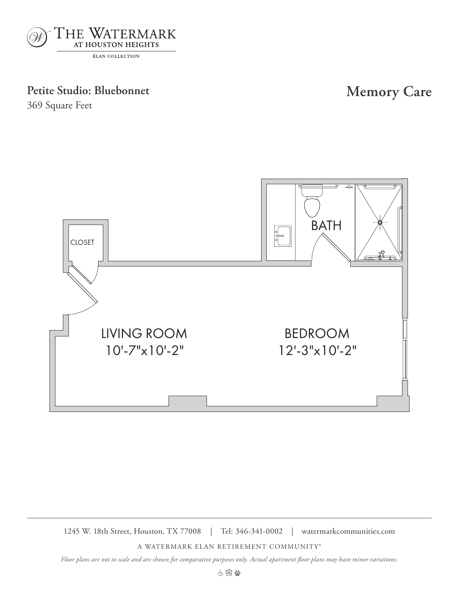

## Petite Studio: Bluebonnet **Memory Care**

369 Square Feet



1245 W. 18th Street, Houston, TX 77008 | Tel: 346-341-0002 | watermarkcommunities.com

A WATERMARK ELAN RETIREMENT COMMUNITY®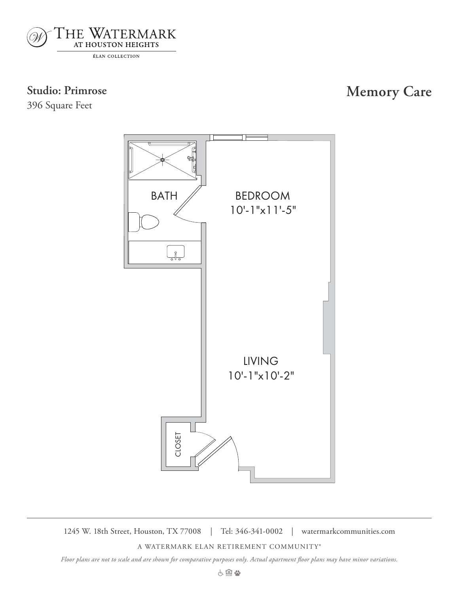

396 Square Feet

# **Studio: Primrose Memory Care**



1245 W. 18th Street, Houston, TX 77008 | Tel: 346-341-0002 | watermarkcommunities.com

Primrose

A WATERMARK ELAN RETIREMENT COMMUNITY®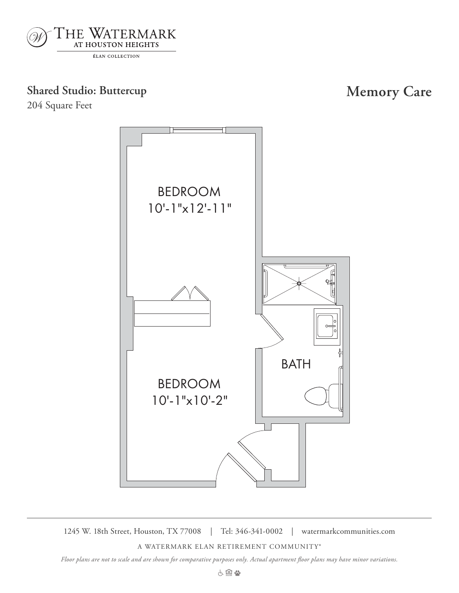

## **Shared Studio: Buttercup Memory Care**

204 Square Feet



1245 W. 18th Street, Houston, TX 77008 | Tel: 346-341-0002 | watermarkcommunities.com

A WATERMARK ELAN RETIREMENT COMMUNITY®